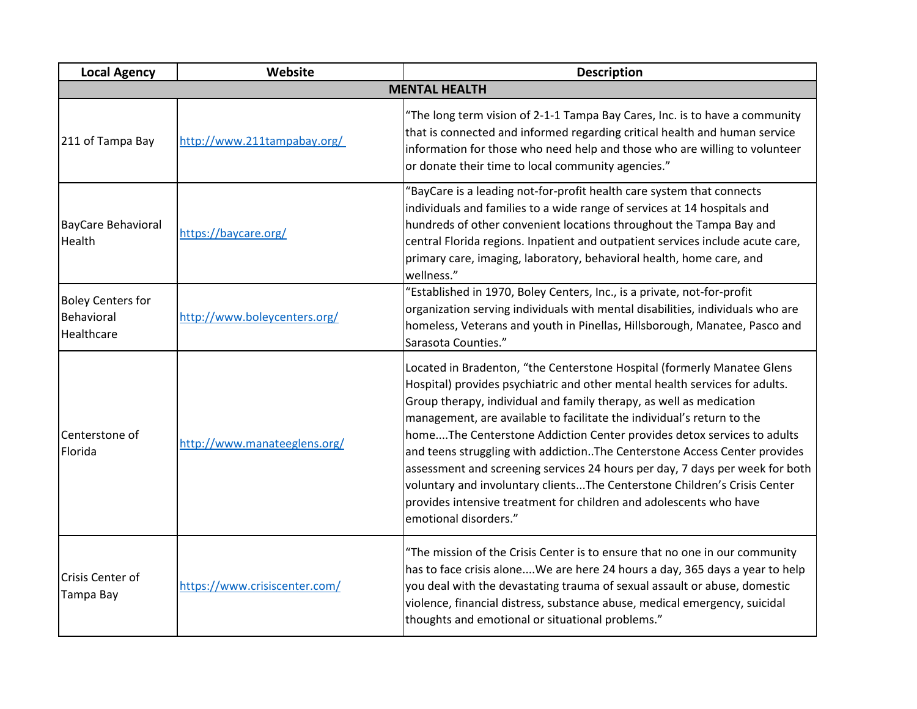| <b>Local Agency</b>                                  | Website                       | <b>Description</b>                                                                                                                                                                                                                                                                                                                                                                                                                                                                                                                                                                                                                                                                                                           |
|------------------------------------------------------|-------------------------------|------------------------------------------------------------------------------------------------------------------------------------------------------------------------------------------------------------------------------------------------------------------------------------------------------------------------------------------------------------------------------------------------------------------------------------------------------------------------------------------------------------------------------------------------------------------------------------------------------------------------------------------------------------------------------------------------------------------------------|
|                                                      |                               | <b>MENTAL HEALTH</b>                                                                                                                                                                                                                                                                                                                                                                                                                                                                                                                                                                                                                                                                                                         |
| 211 of Tampa Bay                                     | http://www.211tampabay.org/   | "The long term vision of 2-1-1 Tampa Bay Cares, Inc. is to have a community<br>that is connected and informed regarding critical health and human service<br>information for those who need help and those who are willing to volunteer<br>or donate their time to local community agencies."                                                                                                                                                                                                                                                                                                                                                                                                                                |
| <b>BayCare Behavioral</b><br>Health                  | https://baycare.org/          | "BayCare is a leading not-for-profit health care system that connects<br>individuals and families to a wide range of services at 14 hospitals and<br>hundreds of other convenient locations throughout the Tampa Bay and<br>central Florida regions. Inpatient and outpatient services include acute care,<br>primary care, imaging, laboratory, behavioral health, home care, and<br>wellness."                                                                                                                                                                                                                                                                                                                             |
| <b>Boley Centers for</b><br>Behavioral<br>Healthcare | http://www.boleycenters.org/  | "Established in 1970, Boley Centers, Inc., is a private, not-for-profit<br>organization serving individuals with mental disabilities, individuals who are<br>homeless, Veterans and youth in Pinellas, Hillsborough, Manatee, Pasco and<br>Sarasota Counties."                                                                                                                                                                                                                                                                                                                                                                                                                                                               |
| Centerstone of<br>Florida                            | http://www.manateeglens.org/  | Located in Bradenton, "the Centerstone Hospital (formerly Manatee Glens<br>Hospital) provides psychiatric and other mental health services for adults.<br>Group therapy, individual and family therapy, as well as medication<br>management, are available to facilitate the individual's return to the<br>homeThe Centerstone Addiction Center provides detox services to adults<br>and teens struggling with addiction. The Centerstone Access Center provides<br>assessment and screening services 24 hours per day, 7 days per week for both<br>voluntary and involuntary clientsThe Centerstone Children's Crisis Center<br>provides intensive treatment for children and adolescents who have<br>emotional disorders." |
| Crisis Center of<br>Tampa Bay                        | https://www.crisiscenter.com/ | "The mission of the Crisis Center is to ensure that no one in our community<br>has to face crisis aloneWe are here 24 hours a day, 365 days a year to help<br>you deal with the devastating trauma of sexual assault or abuse, domestic<br>violence, financial distress, substance abuse, medical emergency, suicidal<br>thoughts and emotional or situational problems."                                                                                                                                                                                                                                                                                                                                                    |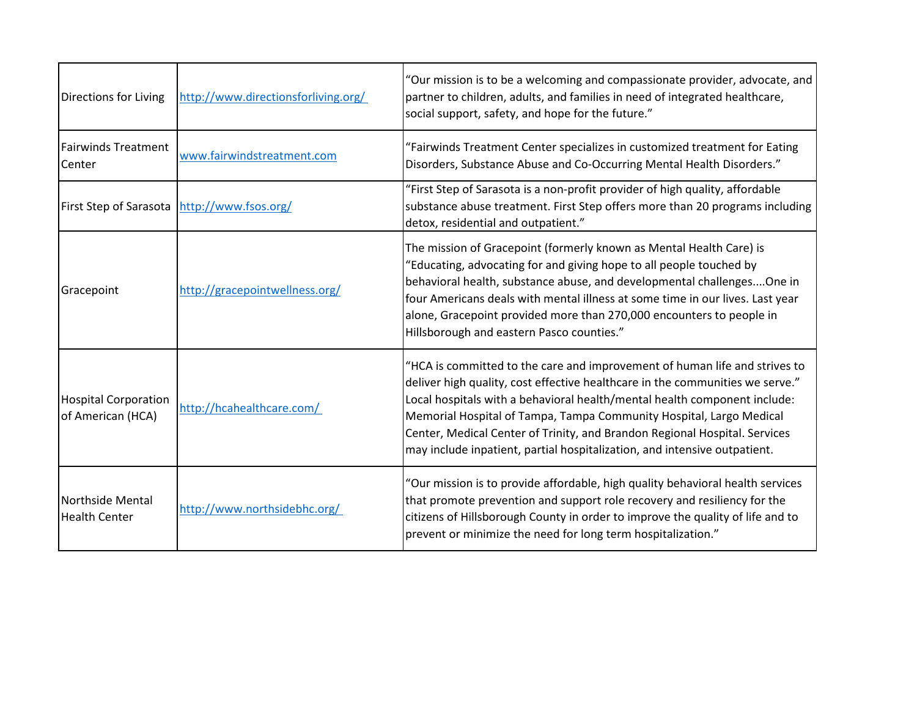| Directions for Living                            | http://www.directionsforliving.org/ | "Our mission is to be a welcoming and compassionate provider, advocate, and<br>partner to children, adults, and families in need of integrated healthcare,<br>social support, safety, and hope for the future."                                                                                                                                                                                                                                                            |
|--------------------------------------------------|-------------------------------------|----------------------------------------------------------------------------------------------------------------------------------------------------------------------------------------------------------------------------------------------------------------------------------------------------------------------------------------------------------------------------------------------------------------------------------------------------------------------------|
| <b>Fairwinds Treatment</b><br>Center             | www.fairwindstreatment.com          | "Fairwinds Treatment Center specializes in customized treatment for Eating<br>Disorders, Substance Abuse and Co-Occurring Mental Health Disorders."                                                                                                                                                                                                                                                                                                                        |
| First Step of Sarasota   http://www.fsos.org/    |                                     | "First Step of Sarasota is a non-profit provider of high quality, affordable<br>substance abuse treatment. First Step offers more than 20 programs including<br>detox, residential and outpatient."                                                                                                                                                                                                                                                                        |
| Gracepoint                                       | http://gracepointwellness.org/      | The mission of Gracepoint (formerly known as Mental Health Care) is<br>"Educating, advocating for and giving hope to all people touched by<br>behavioral health, substance abuse, and developmental challengesOne in<br>four Americans deals with mental illness at some time in our lives. Last year<br>alone, Gracepoint provided more than 270,000 encounters to people in<br>Hillsborough and eastern Pasco counties."                                                 |
| <b>Hospital Corporation</b><br>of American (HCA) | http://hcahealthcare.com/           | "HCA is committed to the care and improvement of human life and strives to<br>deliver high quality, cost effective healthcare in the communities we serve."<br>Local hospitals with a behavioral health/mental health component include:<br>Memorial Hospital of Tampa, Tampa Community Hospital, Largo Medical<br>Center, Medical Center of Trinity, and Brandon Regional Hospital. Services<br>may include inpatient, partial hospitalization, and intensive outpatient. |
| Northside Mental<br><b>Health Center</b>         | http://www.northsidebhc.org/        | "Our mission is to provide affordable, high quality behavioral health services<br>that promote prevention and support role recovery and resiliency for the<br>citizens of Hillsborough County in order to improve the quality of life and to<br>prevent or minimize the need for long term hospitalization."                                                                                                                                                               |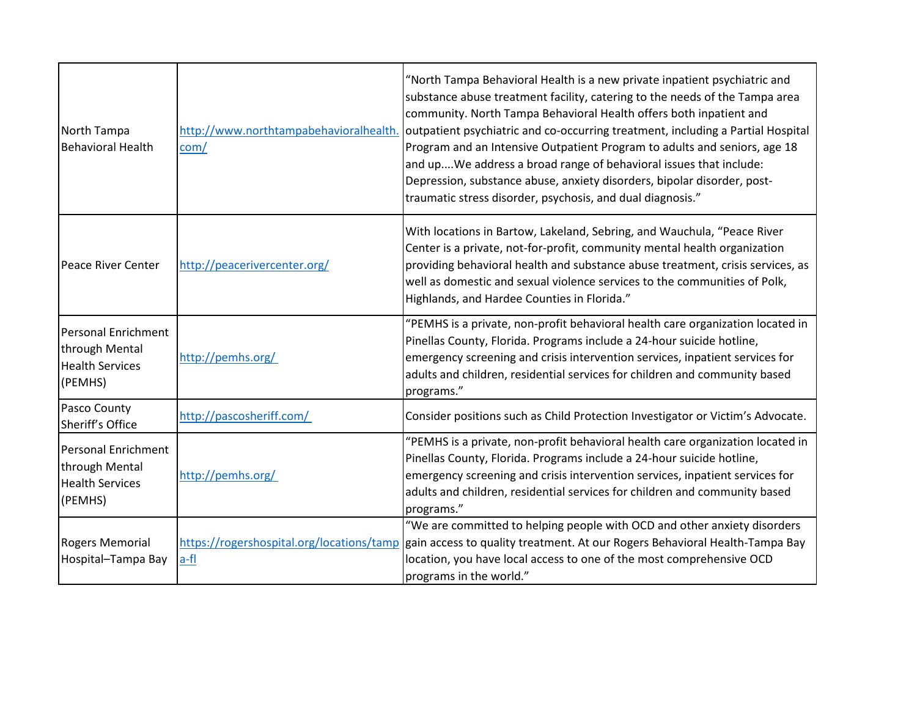| North Tampa<br><b>Behavioral Health</b>                                    | com/                         | "North Tampa Behavioral Health is a new private inpatient psychiatric and<br>substance abuse treatment facility, catering to the needs of the Tampa area<br>community. North Tampa Behavioral Health offers both inpatient and<br>http://www.northtampabehavioralhealth. outpatient psychiatric and co-occurring treatment, including a Partial Hospital<br>Program and an Intensive Outpatient Program to adults and seniors, age 18<br>and upWe address a broad range of behavioral issues that include:<br>Depression, substance abuse, anxiety disorders, bipolar disorder, post-<br>traumatic stress disorder, psychosis, and dual diagnosis." |
|----------------------------------------------------------------------------|------------------------------|-----------------------------------------------------------------------------------------------------------------------------------------------------------------------------------------------------------------------------------------------------------------------------------------------------------------------------------------------------------------------------------------------------------------------------------------------------------------------------------------------------------------------------------------------------------------------------------------------------------------------------------------------------|
| Peace River Center                                                         | http://peacerivercenter.org/ | With locations in Bartow, Lakeland, Sebring, and Wauchula, "Peace River<br>Center is a private, not-for-profit, community mental health organization<br>providing behavioral health and substance abuse treatment, crisis services, as<br>well as domestic and sexual violence services to the communities of Polk,<br>Highlands, and Hardee Counties in Florida."                                                                                                                                                                                                                                                                                  |
| Personal Enrichment<br>through Mental<br><b>Health Services</b><br>(PEMHS) | http://pemhs.org/            | "PEMHS is a private, non-profit behavioral health care organization located in<br>Pinellas County, Florida. Programs include a 24-hour suicide hotline,<br>emergency screening and crisis intervention services, inpatient services for<br>adults and children, residential services for children and community based<br>programs."                                                                                                                                                                                                                                                                                                                 |
| Pasco County<br>Sheriff's Office                                           | http://pascosheriff.com/     | Consider positions such as Child Protection Investigator or Victim's Advocate.                                                                                                                                                                                                                                                                                                                                                                                                                                                                                                                                                                      |
| Personal Enrichment<br>through Mental<br><b>Health Services</b><br>(PEMHS) | http://pemhs.org/            | "PEMHS is a private, non-profit behavioral health care organization located in<br>Pinellas County, Florida. Programs include a 24-hour suicide hotline,<br>emergency screening and crisis intervention services, inpatient services for<br>adults and children, residential services for children and community based<br>programs."                                                                                                                                                                                                                                                                                                                 |
| <b>Rogers Memorial</b><br>Hospital-Tampa Bay                               | a-fl                         | "We are committed to helping people with OCD and other anxiety disorders<br>https://rogershospital.org/locations/tamp gain access to quality treatment. At our Rogers Behavioral Health-Tampa Bay<br>location, you have local access to one of the most comprehensive OCD<br>programs in the world."                                                                                                                                                                                                                                                                                                                                                |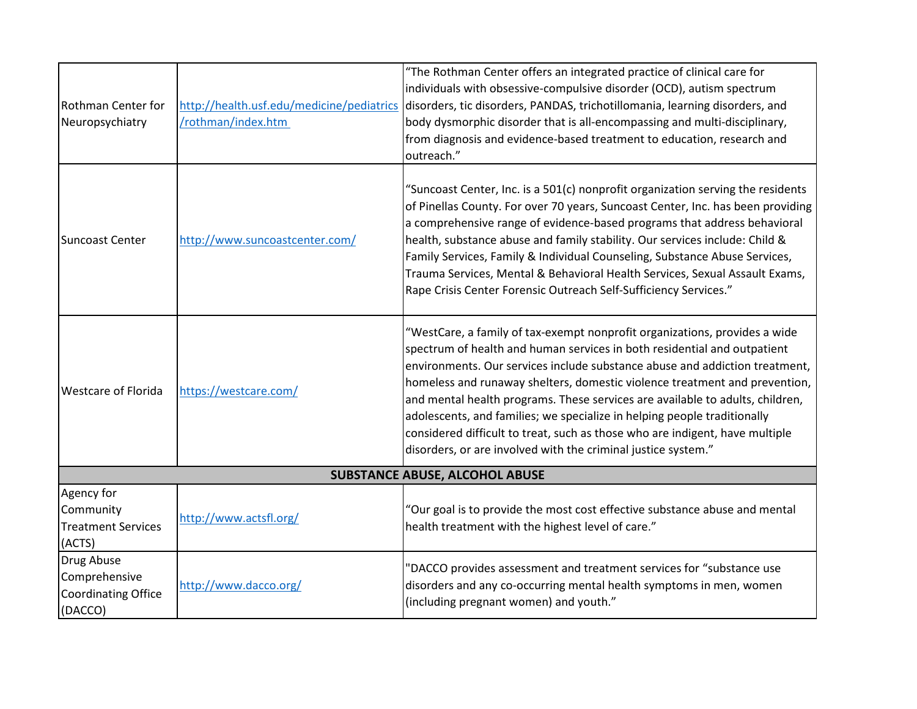| <b>Rothman Center for</b><br>Neuropsychiatry                         | http://health.usf.edu/medicine/pediatrics<br>/rothman/index.htm | "The Rothman Center offers an integrated practice of clinical care for<br>individuals with obsessive-compulsive disorder (OCD), autism spectrum<br>disorders, tic disorders, PANDAS, trichotillomania, learning disorders, and<br>body dysmorphic disorder that is all-encompassing and multi-disciplinary,<br>from diagnosis and evidence-based treatment to education, research and<br>outreach."                                                                                                                                                                                                                               |  |
|----------------------------------------------------------------------|-----------------------------------------------------------------|-----------------------------------------------------------------------------------------------------------------------------------------------------------------------------------------------------------------------------------------------------------------------------------------------------------------------------------------------------------------------------------------------------------------------------------------------------------------------------------------------------------------------------------------------------------------------------------------------------------------------------------|--|
| <b>Suncoast Center</b>                                               | http://www.suncoastcenter.com/                                  | "Suncoast Center, Inc. is a 501(c) nonprofit organization serving the residents<br>of Pinellas County. For over 70 years, Suncoast Center, Inc. has been providing<br>a comprehensive range of evidence-based programs that address behavioral<br>health, substance abuse and family stability. Our services include: Child &<br>Family Services, Family & Individual Counseling, Substance Abuse Services,<br>Trauma Services, Mental & Behavioral Health Services, Sexual Assault Exams,<br>Rape Crisis Center Forensic Outreach Self-Sufficiency Services."                                                                    |  |
| <b>Westcare of Florida</b>                                           | https://westcare.com/                                           | "WestCare, a family of tax-exempt nonprofit organizations, provides a wide<br>spectrum of health and human services in both residential and outpatient<br>environments. Our services include substance abuse and addiction treatment,<br>homeless and runaway shelters, domestic violence treatment and prevention,<br>and mental health programs. These services are available to adults, children,<br>adolescents, and families; we specialize in helping people traditionally<br>considered difficult to treat, such as those who are indigent, have multiple<br>disorders, or are involved with the criminal justice system." |  |
|                                                                      | <b>SUBSTANCE ABUSE, ALCOHOL ABUSE</b>                           |                                                                                                                                                                                                                                                                                                                                                                                                                                                                                                                                                                                                                                   |  |
| Agency for<br>Community<br><b>Treatment Services</b><br>(ACTS)       | http://www.actsfl.org/                                          | "Our goal is to provide the most cost effective substance abuse and mental<br>health treatment with the highest level of care."                                                                                                                                                                                                                                                                                                                                                                                                                                                                                                   |  |
| Drug Abuse<br>Comprehensive<br><b>Coordinating Office</b><br>(DACCO) | http://www.dacco.org/                                           | "DACCO provides assessment and treatment services for "substance use<br>disorders and any co-occurring mental health symptoms in men, women<br>(including pregnant women) and youth."                                                                                                                                                                                                                                                                                                                                                                                                                                             |  |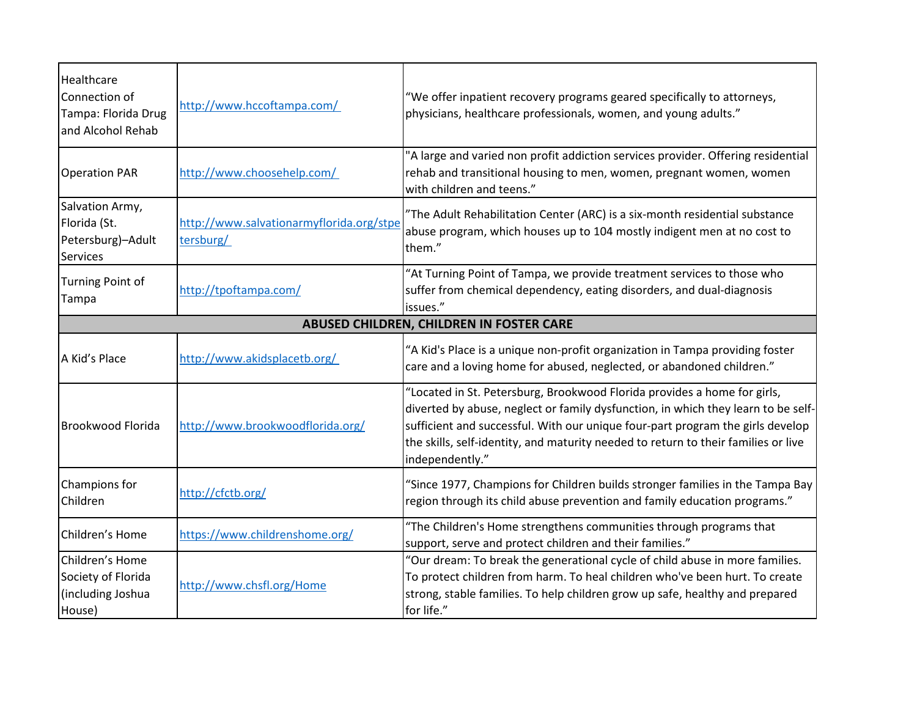| <b>Healthcare</b><br>Connection of<br>Tampa: Florida Drug<br>and Alcohol Rehab | http://www.hccoftampa.com/                            | "We offer inpatient recovery programs geared specifically to attorneys,<br>physicians, healthcare professionals, women, and young adults."                                                                                                                                                                                                               |
|--------------------------------------------------------------------------------|-------------------------------------------------------|----------------------------------------------------------------------------------------------------------------------------------------------------------------------------------------------------------------------------------------------------------------------------------------------------------------------------------------------------------|
| <b>Operation PAR</b>                                                           | http://www.choosehelp.com/                            | "A large and varied non profit addiction services provider. Offering residential<br>rehab and transitional housing to men, women, pregnant women, women<br>with children and teens."                                                                                                                                                                     |
| Salvation Army,<br>Florida (St.<br>Petersburg)-Adult<br>Services               | http://www.salvationarmyflorida.org/stpe<br>tersburg/ | "The Adult Rehabilitation Center (ARC) is a six-month residential substance<br>abuse program, which houses up to 104 mostly indigent men at no cost to<br>them."                                                                                                                                                                                         |
| Turning Point of<br>Tampa                                                      | http://tpoftampa.com/                                 | "At Turning Point of Tampa, we provide treatment services to those who<br>suffer from chemical dependency, eating disorders, and dual-diagnosis<br>issues."                                                                                                                                                                                              |
|                                                                                |                                                       | ABUSED CHILDREN, CHILDREN IN FOSTER CARE                                                                                                                                                                                                                                                                                                                 |
| A Kid's Place                                                                  | http://www.akidsplacetb.org/                          | "A Kid's Place is a unique non-profit organization in Tampa providing foster<br>care and a loving home for abused, neglected, or abandoned children."                                                                                                                                                                                                    |
| <b>Brookwood Florida</b>                                                       | http://www.brookwoodflorida.org/                      | "Located in St. Petersburg, Brookwood Florida provides a home for girls,<br>diverted by abuse, neglect or family dysfunction, in which they learn to be self-<br>sufficient and successful. With our unique four-part program the girls develop<br>the skills, self-identity, and maturity needed to return to their families or live<br>independently." |
| Champions for<br>Children                                                      | http://cfctb.org/                                     | "Since 1977, Champions for Children builds stronger families in the Tampa Bay<br>region through its child abuse prevention and family education programs."                                                                                                                                                                                               |
| Children's Home                                                                | https://www.childrenshome.org/                        | "The Children's Home strengthens communities through programs that<br>support, serve and protect children and their families."                                                                                                                                                                                                                           |
| Children's Home<br>Society of Florida<br>(including Joshua<br>House)           | http://www.chsfl.org/Home                             | "Our dream: To break the generational cycle of child abuse in more families.<br>To protect children from harm. To heal children who've been hurt. To create<br>strong, stable families. To help children grow up safe, healthy and prepared<br>for life."                                                                                                |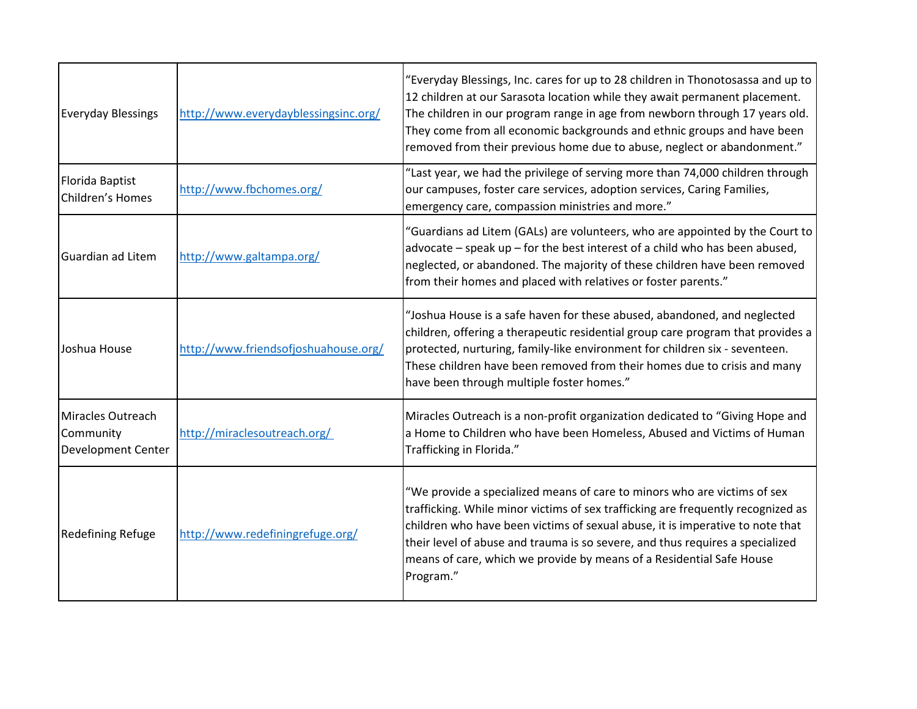| <b>Everyday Blessings</b>                                   | http://www.everydayblessingsinc.org/ | "Everyday Blessings, Inc. cares for up to 28 children in Thonotosassa and up to<br>12 children at our Sarasota location while they await permanent placement.<br>The children in our program range in age from newborn through 17 years old.<br>They come from all economic backgrounds and ethnic groups and have been<br>removed from their previous home due to abuse, neglect or abandonment."                  |
|-------------------------------------------------------------|--------------------------------------|---------------------------------------------------------------------------------------------------------------------------------------------------------------------------------------------------------------------------------------------------------------------------------------------------------------------------------------------------------------------------------------------------------------------|
| Florida Baptist<br>Children's Homes                         | http://www.fbchomes.org/             | "Last year, we had the privilege of serving more than 74,000 children through<br>our campuses, foster care services, adoption services, Caring Families,<br>emergency care, compassion ministries and more."                                                                                                                                                                                                        |
| Guardian ad Litem                                           | http://www.galtampa.org/             | "Guardians ad Litem (GALs) are volunteers, who are appointed by the Court to<br>advocate – speak up – for the best interest of a child who has been abused,<br>neglected, or abandoned. The majority of these children have been removed<br>from their homes and placed with relatives or foster parents."                                                                                                          |
| Joshua House                                                | http://www.friendsofjoshuahouse.org/ | "Joshua House is a safe haven for these abused, abandoned, and neglected<br>children, offering a therapeutic residential group care program that provides a<br>protected, nurturing, family-like environment for children six - seventeen.<br>These children have been removed from their homes due to crisis and many<br>have been through multiple foster homes."                                                 |
| Miracles Outreach<br>Community<br><b>Development Center</b> | http://miraclesoutreach.org/         | Miracles Outreach is a non-profit organization dedicated to "Giving Hope and<br>a Home to Children who have been Homeless, Abused and Victims of Human<br>Trafficking in Florida."                                                                                                                                                                                                                                  |
| <b>Redefining Refuge</b>                                    | http://www.redefiningrefuge.org/     | "We provide a specialized means of care to minors who are victims of sex<br>trafficking. While minor victims of sex trafficking are frequently recognized as<br>children who have been victims of sexual abuse, it is imperative to note that<br>their level of abuse and trauma is so severe, and thus requires a specialized<br>means of care, which we provide by means of a Residential Safe House<br>Program." |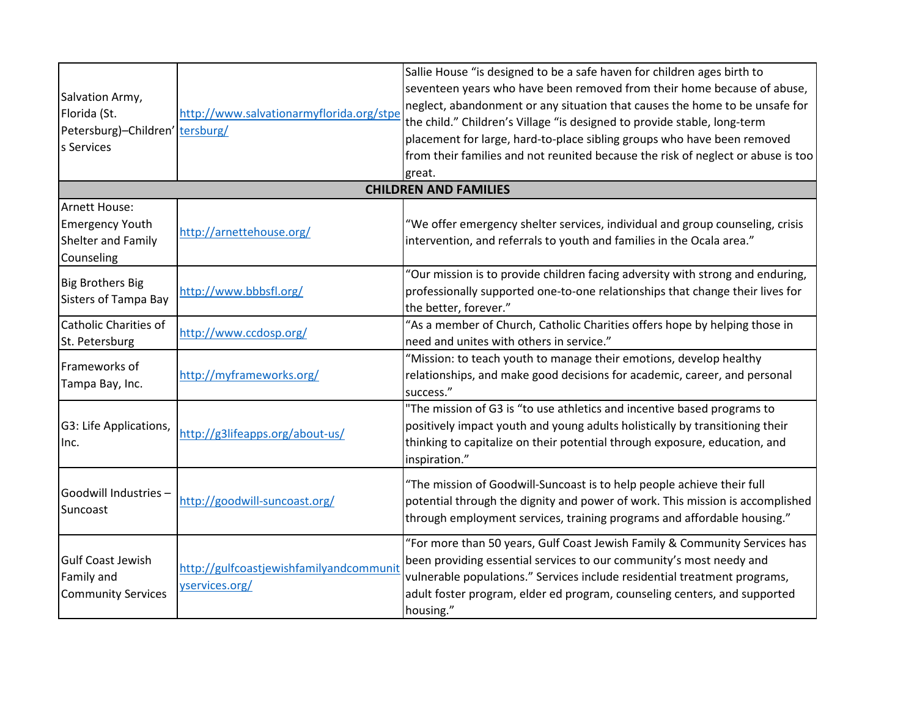| Salvation Army,<br>Florida (St.<br>Petersburg)-Children' tersburg/<br>s Services | http://www.salvationarmyflorida.org/stpe                  | Sallie House "is designed to be a safe haven for children ages birth to<br>seventeen years who have been removed from their home because of abuse,<br>neglect, abandonment or any situation that causes the home to be unsafe for<br>the child." Children's Village "is designed to provide stable, long-term<br>placement for large, hard-to-place sibling groups who have been removed<br>from their families and not reunited because the risk of neglect or abuse is too<br>great. |
|----------------------------------------------------------------------------------|-----------------------------------------------------------|----------------------------------------------------------------------------------------------------------------------------------------------------------------------------------------------------------------------------------------------------------------------------------------------------------------------------------------------------------------------------------------------------------------------------------------------------------------------------------------|
|                                                                                  |                                                           | <b>CHILDREN AND FAMILIES</b>                                                                                                                                                                                                                                                                                                                                                                                                                                                           |
| Arnett House:<br><b>Emergency Youth</b><br>Shelter and Family<br>Counseling      | http://arnettehouse.org/                                  | "We offer emergency shelter services, individual and group counseling, crisis<br>intervention, and referrals to youth and families in the Ocala area."                                                                                                                                                                                                                                                                                                                                 |
| <b>Big Brothers Big</b><br><b>Sisters of Tampa Bay</b>                           | http://www.bbbsfl.org/                                    | "Our mission is to provide children facing adversity with strong and enduring,<br>professionally supported one-to-one relationships that change their lives for<br>the better, forever."                                                                                                                                                                                                                                                                                               |
| Catholic Charities of<br>St. Petersburg                                          | http://www.ccdosp.org/                                    | "As a member of Church, Catholic Charities offers hope by helping those in<br>need and unites with others in service."                                                                                                                                                                                                                                                                                                                                                                 |
| Frameworks of<br>Tampa Bay, Inc.                                                 | http://myframeworks.org/                                  | "Mission: to teach youth to manage their emotions, develop healthy<br>relationships, and make good decisions for academic, career, and personal<br>success."                                                                                                                                                                                                                                                                                                                           |
| G3: Life Applications,<br>Inc.                                                   | http://g3lifeapps.org/about-us/                           | "The mission of G3 is "to use athletics and incentive based programs to<br>positively impact youth and young adults holistically by transitioning their<br>thinking to capitalize on their potential through exposure, education, and<br>inspiration."                                                                                                                                                                                                                                 |
| Goodwill Industries -<br>Suncoast                                                | http://goodwill-suncoast.org/                             | "The mission of Goodwill-Suncoast is to help people achieve their full<br>potential through the dignity and power of work. This mission is accomplished<br>through employment services, training programs and affordable housing."                                                                                                                                                                                                                                                     |
| <b>Gulf Coast Jewish</b><br>Family and<br><b>Community Services</b>              | http://gulfcoastjewishfamilyandcommunit<br>yservices.org/ | "For more than 50 years, Gulf Coast Jewish Family & Community Services has<br>been providing essential services to our community's most needy and<br>vulnerable populations." Services include residential treatment programs,<br>adult foster program, elder ed program, counseling centers, and supported<br>housing."                                                                                                                                                               |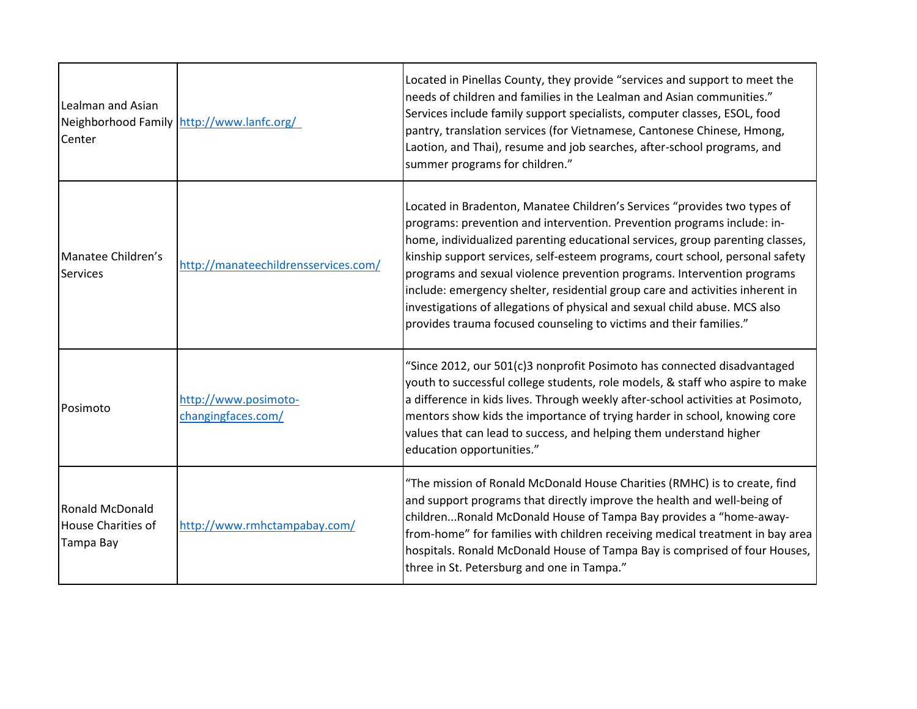| Lealman and Asian<br>Center                               | Neighborhood Family http://www.lanfc.org/  | Located in Pinellas County, they provide "services and support to meet the<br>needs of children and families in the Lealman and Asian communities."<br>Services include family support specialists, computer classes, ESOL, food<br>pantry, translation services (for Vietnamese, Cantonese Chinese, Hmong,<br>Laotion, and Thai), resume and job searches, after-school programs, and<br>summer programs for children."                                                                                                                                                                                                              |
|-----------------------------------------------------------|--------------------------------------------|---------------------------------------------------------------------------------------------------------------------------------------------------------------------------------------------------------------------------------------------------------------------------------------------------------------------------------------------------------------------------------------------------------------------------------------------------------------------------------------------------------------------------------------------------------------------------------------------------------------------------------------|
| Manatee Children's<br><b>Services</b>                     | http://manateechildrensservices.com/       | Located in Bradenton, Manatee Children's Services "provides two types of<br>programs: prevention and intervention. Prevention programs include: in-<br>home, individualized parenting educational services, group parenting classes,<br>kinship support services, self-esteem programs, court school, personal safety<br>programs and sexual violence prevention programs. Intervention programs<br>include: emergency shelter, residential group care and activities inherent in<br>investigations of allegations of physical and sexual child abuse. MCS also<br>provides trauma focused counseling to victims and their families." |
| Posimoto                                                  | http://www.posimoto-<br>changingfaces.com/ | "Since 2012, our 501(c)3 nonprofit Posimoto has connected disadvantaged<br>youth to successful college students, role models, & staff who aspire to make<br>a difference in kids lives. Through weekly after-school activities at Posimoto,<br>mentors show kids the importance of trying harder in school, knowing core<br>values that can lead to success, and helping them understand higher<br>education opportunities."                                                                                                                                                                                                          |
| Ronald McDonald<br><b>House Charities of</b><br>Tampa Bay | http://www.rmhctampabay.com/               | "The mission of Ronald McDonald House Charities (RMHC) is to create, find<br>and support programs that directly improve the health and well-being of<br>childrenRonald McDonald House of Tampa Bay provides a "home-away-<br>from-home" for families with children receiving medical treatment in bay area<br>hospitals. Ronald McDonald House of Tampa Bay is comprised of four Houses,<br>three in St. Petersburg and one in Tampa."                                                                                                                                                                                                |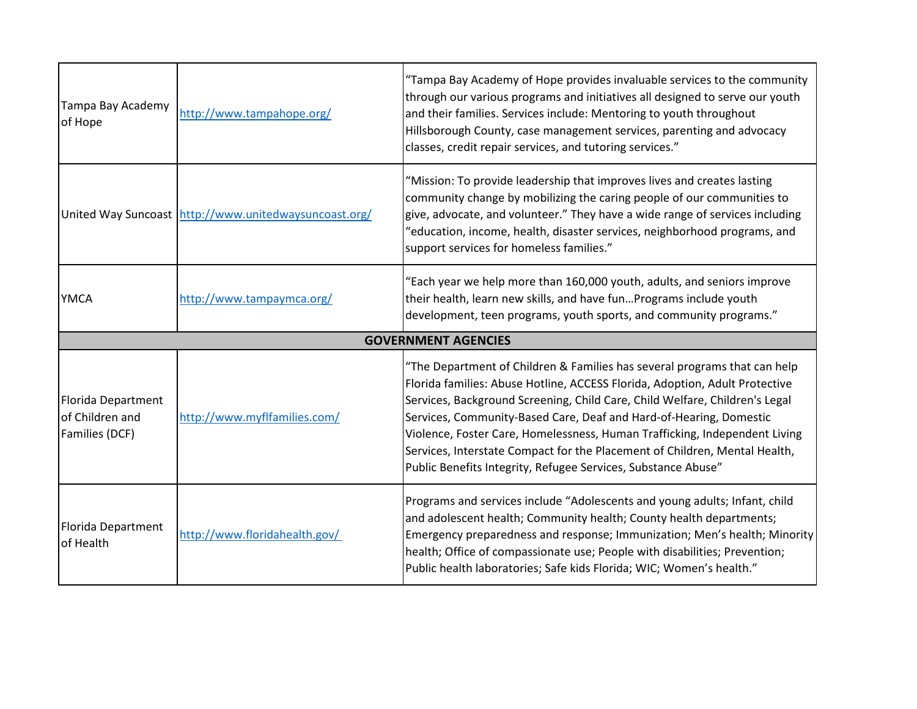| Tampa Bay Academy<br>of Hope                            | http://www.tampahope.org/                             | "Tampa Bay Academy of Hope provides invaluable services to the community<br>through our various programs and initiatives all designed to serve our youth<br>and their families. Services include: Mentoring to youth throughout<br>Hillsborough County, case management services, parenting and advocacy<br>classes, credit repair services, and tutoring services."                                                                                                                                                                       |
|---------------------------------------------------------|-------------------------------------------------------|--------------------------------------------------------------------------------------------------------------------------------------------------------------------------------------------------------------------------------------------------------------------------------------------------------------------------------------------------------------------------------------------------------------------------------------------------------------------------------------------------------------------------------------------|
|                                                         | United Way Suncoast http://www.unitedwaysuncoast.org/ | "Mission: To provide leadership that improves lives and creates lasting<br>community change by mobilizing the caring people of our communities to<br>give, advocate, and volunteer." They have a wide range of services including<br>"education, income, health, disaster services, neighborhood programs, and<br>support services for homeless families."                                                                                                                                                                                 |
| <b>YMCA</b>                                             | http://www.tampaymca.org/                             | "Each year we help more than 160,000 youth, adults, and seniors improve<br>their health, learn new skills, and have funPrograms include youth<br>development, teen programs, youth sports, and community programs."                                                                                                                                                                                                                                                                                                                        |
|                                                         |                                                       | <b>GOVERNMENT AGENCIES</b>                                                                                                                                                                                                                                                                                                                                                                                                                                                                                                                 |
| Florida Department<br>of Children and<br>Families (DCF) | http://www.myflfamilies.com/                          | "The Department of Children & Families has several programs that can help<br>Florida families: Abuse Hotline, ACCESS Florida, Adoption, Adult Protective<br>Services, Background Screening, Child Care, Child Welfare, Children's Legal<br>Services, Community-Based Care, Deaf and Hard-of-Hearing, Domestic<br>Violence, Foster Care, Homelessness, Human Trafficking, Independent Living<br>Services, Interstate Compact for the Placement of Children, Mental Health,<br>Public Benefits Integrity, Refugee Services, Substance Abuse" |
| Florida Department<br>of Health                         | http://www.floridahealth.gov/                         | Programs and services include "Adolescents and young adults; Infant, child<br>and adolescent health; Community health; County health departments;<br>Emergency preparedness and response; Immunization; Men's health; Minority<br>health; Office of compassionate use; People with disabilities; Prevention;<br>Public health laboratories; Safe kids Florida; WIC; Women's health."                                                                                                                                                       |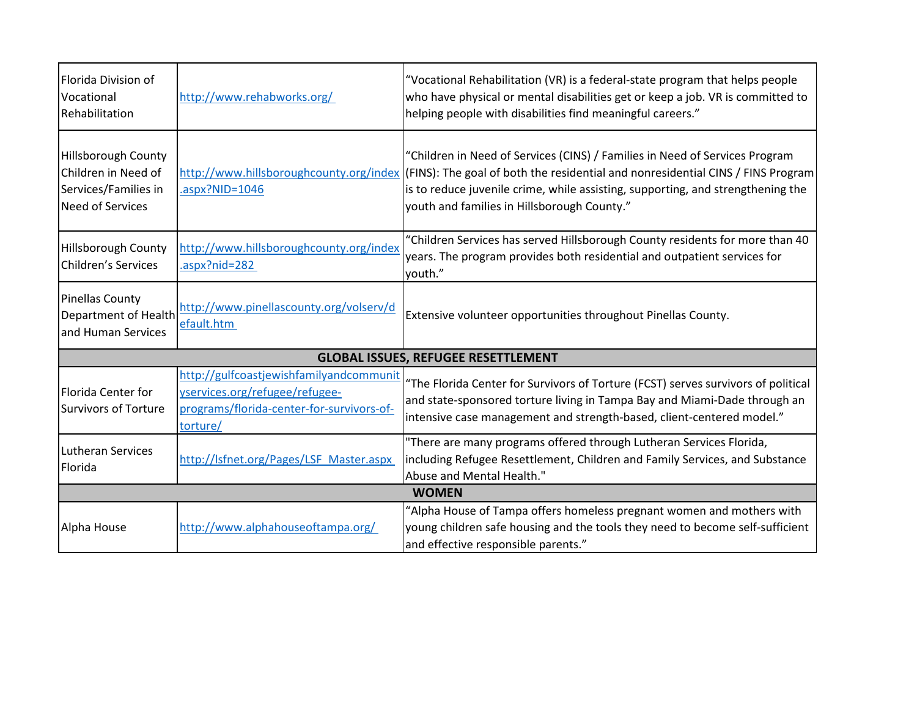| Florida Division of<br>Vocational<br>Rehabilitation                                                  | http://www.rehabworks.org/                                                                                                         | "Vocational Rehabilitation (VR) is a federal-state program that helps people<br>who have physical or mental disabilities get or keep a job. VR is committed to<br>helping people with disabilities find meaningful careers."                                                                                                             |
|------------------------------------------------------------------------------------------------------|------------------------------------------------------------------------------------------------------------------------------------|------------------------------------------------------------------------------------------------------------------------------------------------------------------------------------------------------------------------------------------------------------------------------------------------------------------------------------------|
| <b>Hillsborough County</b><br>Children in Need of<br>Services/Families in<br><b>Need of Services</b> | $aspx?NID=1046$                                                                                                                    | "Children in Need of Services (CINS) / Families in Need of Services Program<br>http://www.hillsboroughcounty.org/index (FINS): The goal of both the residential and nonresidential CINS / FINS Program<br>is to reduce juvenile crime, while assisting, supporting, and strengthening the<br>youth and families in Hillsborough County." |
| <b>Hillsborough County</b><br>Children's Services                                                    | http://www.hillsboroughcounty.org/index<br>.aspx?nid=282                                                                           | "Children Services has served Hillsborough County residents for more than 40<br>years. The program provides both residential and outpatient services for<br>youth."                                                                                                                                                                      |
| Pinellas County<br>Department of Health<br>and Human Services                                        | http://www.pinellascounty.org/volserv/d<br>efault.htm                                                                              | Extensive volunteer opportunities throughout Pinellas County.                                                                                                                                                                                                                                                                            |
|                                                                                                      |                                                                                                                                    | <b>GLOBAL ISSUES, REFUGEE RESETTLEMENT</b>                                                                                                                                                                                                                                                                                               |
| Florida Center for<br>Survivors of Torture                                                           | http://gulfcoastjewishfamilyandcommunit<br>yservices.org/refugee/refugee-<br>programs/florida-center-for-survivors-of-<br>torture/ | "The Florida Center for Survivors of Torture (FCST) serves survivors of political<br>and state-sponsored torture living in Tampa Bay and Miami-Dade through an<br>intensive case management and strength-based, client-centered model."                                                                                                  |
| <b>Lutheran Services</b><br>Florida                                                                  | http://lsfnet.org/Pages/LSF_Master.aspx                                                                                            | "There are many programs offered through Lutheran Services Florida,<br>including Refugee Resettlement, Children and Family Services, and Substance<br>Abuse and Mental Health."                                                                                                                                                          |
| <b>WOMEN</b>                                                                                         |                                                                                                                                    |                                                                                                                                                                                                                                                                                                                                          |
| Alpha House                                                                                          | http://www.alphahouseoftampa.org/                                                                                                  | "Alpha House of Tampa offers homeless pregnant women and mothers with<br>young children safe housing and the tools they need to become self-sufficient<br>and effective responsible parents."                                                                                                                                            |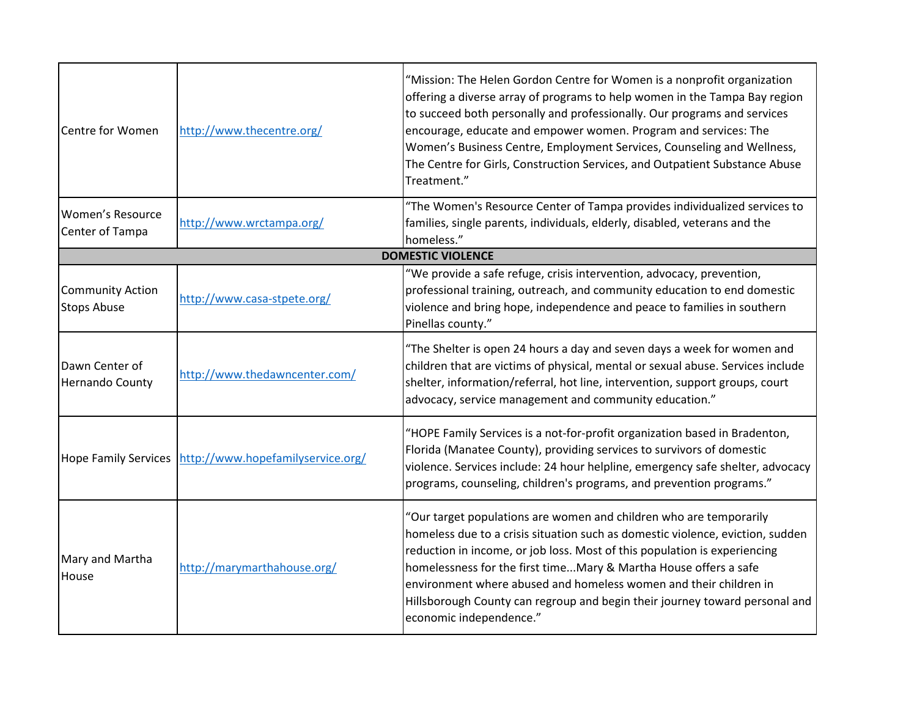| <b>Centre for Women</b>                       | http://www.thecentre.org/                              | "Mission: The Helen Gordon Centre for Women is a nonprofit organization<br>offering a diverse array of programs to help women in the Tampa Bay region<br>to succeed both personally and professionally. Our programs and services<br>encourage, educate and empower women. Program and services: The<br>Women's Business Centre, Employment Services, Counseling and Wellness,<br>The Centre for Girls, Construction Services, and Outpatient Substance Abuse<br>Treatment."         |
|-----------------------------------------------|--------------------------------------------------------|--------------------------------------------------------------------------------------------------------------------------------------------------------------------------------------------------------------------------------------------------------------------------------------------------------------------------------------------------------------------------------------------------------------------------------------------------------------------------------------|
| <b>Women's Resource</b><br>Center of Tampa    | http://www.wrctampa.org/                               | "The Women's Resource Center of Tampa provides individualized services to<br>families, single parents, individuals, elderly, disabled, veterans and the<br>homeless."                                                                                                                                                                                                                                                                                                                |
|                                               |                                                        | <b>DOMESTIC VIOLENCE</b>                                                                                                                                                                                                                                                                                                                                                                                                                                                             |
| <b>Community Action</b><br><b>Stops Abuse</b> | http://www.casa-stpete.org/                            | "We provide a safe refuge, crisis intervention, advocacy, prevention,<br>professional training, outreach, and community education to end domestic<br>violence and bring hope, independence and peace to families in southern<br>Pinellas county."                                                                                                                                                                                                                                    |
| Dawn Center of<br><b>Hernando County</b>      | http://www.thedawncenter.com/                          | "The Shelter is open 24 hours a day and seven days a week for women and<br>children that are victims of physical, mental or sexual abuse. Services include<br>shelter, information/referral, hot line, intervention, support groups, court<br>advocacy, service management and community education."                                                                                                                                                                                 |
|                                               | Hope Family Services http://www.hopefamilyservice.org/ | "HOPE Family Services is a not-for-profit organization based in Bradenton,<br>Florida (Manatee County), providing services to survivors of domestic<br>violence. Services include: 24 hour helpline, emergency safe shelter, advocacy<br>programs, counseling, children's programs, and prevention programs."                                                                                                                                                                        |
| Mary and Martha<br>House                      | http://marymarthahouse.org/                            | "Our target populations are women and children who are temporarily<br>homeless due to a crisis situation such as domestic violence, eviction, sudden<br>reduction in income, or job loss. Most of this population is experiencing<br>homelessness for the first timeMary & Martha House offers a safe<br>environment where abused and homeless women and their children in<br>Hillsborough County can regroup and begin their journey toward personal and<br>economic independence." |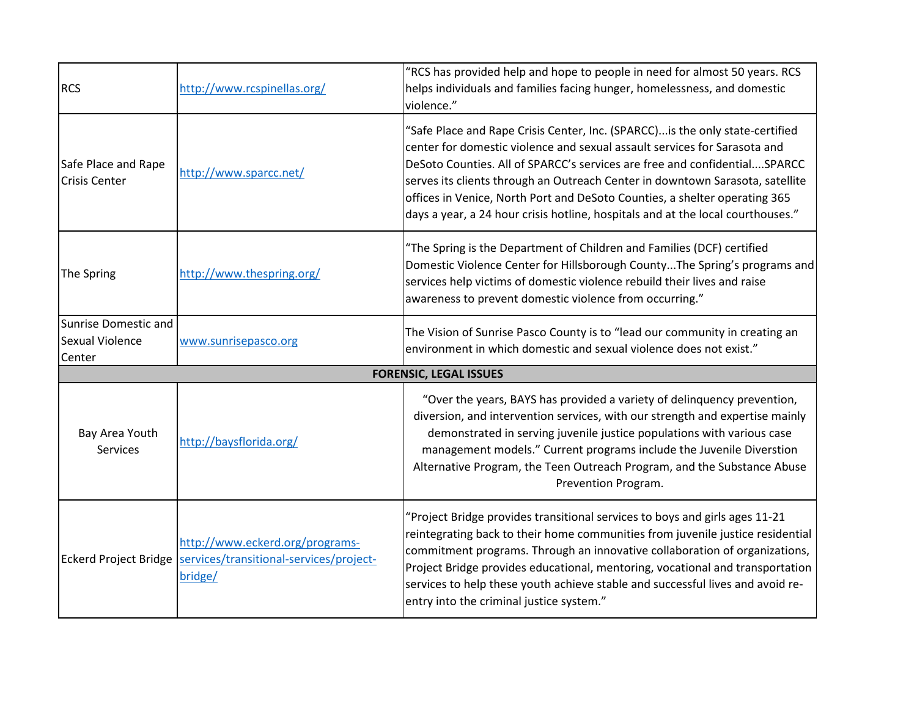| <b>RCS</b>                                        | http://www.rcspinellas.org/                                                                                   | "RCS has provided help and hope to people in need for almost 50 years. RCS<br>helps individuals and families facing hunger, homelessness, and domestic<br>violence."                                                                                                                                                                                                                                                                                                                      |
|---------------------------------------------------|---------------------------------------------------------------------------------------------------------------|-------------------------------------------------------------------------------------------------------------------------------------------------------------------------------------------------------------------------------------------------------------------------------------------------------------------------------------------------------------------------------------------------------------------------------------------------------------------------------------------|
| Safe Place and Rape<br><b>Crisis Center</b>       | http://www.sparcc.net/                                                                                        | "Safe Place and Rape Crisis Center, Inc. (SPARCC) is the only state-certified<br>center for domestic violence and sexual assault services for Sarasota and<br>DeSoto Counties. All of SPARCC's services are free and confidentialSPARCC<br>serves its clients through an Outreach Center in downtown Sarasota, satellite<br>offices in Venice, North Port and DeSoto Counties, a shelter operating 365<br>days a year, a 24 hour crisis hotline, hospitals and at the local courthouses." |
| The Spring                                        | http://www.thespring.org/                                                                                     | "The Spring is the Department of Children and Families (DCF) certified<br>Domestic Violence Center for Hillsborough CountyThe Spring's programs and<br>services help victims of domestic violence rebuild their lives and raise<br>awareness to prevent domestic violence from occurring."                                                                                                                                                                                                |
| Sunrise Domestic and<br>Sexual Violence<br>Center | www.sunrisepasco.org                                                                                          | The Vision of Sunrise Pasco County is to "lead our community in creating an<br>environment in which domestic and sexual violence does not exist."                                                                                                                                                                                                                                                                                                                                         |
|                                                   |                                                                                                               | <b>FORENSIC, LEGAL ISSUES</b>                                                                                                                                                                                                                                                                                                                                                                                                                                                             |
| Bay Area Youth<br><b>Services</b>                 | http://baysflorida.org/                                                                                       | "Over the years, BAYS has provided a variety of delinquency prevention,<br>diversion, and intervention services, with our strength and expertise mainly<br>demonstrated in serving juvenile justice populations with various case<br>management models." Current programs include the Juvenile Diverstion<br>Alternative Program, the Teen Outreach Program, and the Substance Abuse<br>Prevention Program.                                                                               |
|                                                   | http://www.eckerd.org/programs-<br>Eckerd Project Bridge   services/transitional-services/project-<br>bridge/ | "Project Bridge provides transitional services to boys and girls ages 11-21<br>reintegrating back to their home communities from juvenile justice residential<br>commitment programs. Through an innovative collaboration of organizations,<br>Project Bridge provides educational, mentoring, vocational and transportation<br>services to help these youth achieve stable and successful lives and avoid re-<br>entry into the criminal justice system."                                |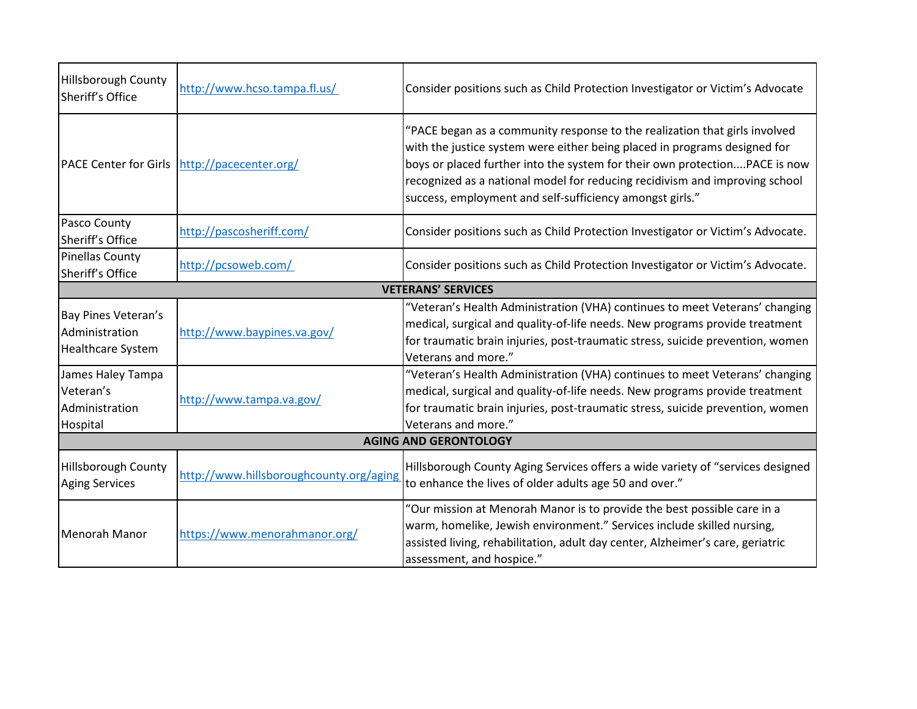| <b>Hillsborough County</b><br>Sheriff's Office                    | http://www.hcso.tampa.fl.us/                 | Consider positions such as Child Protection Investigator or Victim's Advocate                                                                                                                                                                                                                                                                                                    |  |  |
|-------------------------------------------------------------------|----------------------------------------------|----------------------------------------------------------------------------------------------------------------------------------------------------------------------------------------------------------------------------------------------------------------------------------------------------------------------------------------------------------------------------------|--|--|
|                                                                   | PACE Center for Girls http://pacecenter.org/ | "PACE began as a community response to the realization that girls involved<br>with the justice system were either being placed in programs designed for<br>boys or placed further into the system for their own protectionPACE is now<br>recognized as a national model for reducing recidivism and improving school<br>success, employment and self-sufficiency amongst girls." |  |  |
| Pasco County<br>Sheriff's Office                                  | http://pascosheriff.com/                     | Consider positions such as Child Protection Investigator or Victim's Advocate.                                                                                                                                                                                                                                                                                                   |  |  |
| Pinellas County<br>Sheriff's Office                               | http://pcsoweb.com/                          | Consider positions such as Child Protection Investigator or Victim's Advocate.                                                                                                                                                                                                                                                                                                   |  |  |
|                                                                   |                                              | <b>VETERANS' SERVICES</b>                                                                                                                                                                                                                                                                                                                                                        |  |  |
| Bay Pines Veteran's<br>Administration<br><b>Healthcare System</b> | http://www.baypines.va.gov/                  | "Veteran's Health Administration (VHA) continues to meet Veterans' changing<br>medical, surgical and quality-of-life needs. New programs provide treatment<br>for traumatic brain injuries, post-traumatic stress, suicide prevention, women<br>Veterans and more."                                                                                                              |  |  |
| James Haley Tampa<br>Veteran's<br>Administration<br>Hospital      | http://www.tampa.va.gov/                     | "Veteran's Health Administration (VHA) continues to meet Veterans' changing<br>medical, surgical and quality-of-life needs. New programs provide treatment<br>for traumatic brain injuries, post-traumatic stress, suicide prevention, women<br>Veterans and more."                                                                                                              |  |  |
| <b>AGING AND GERONTOLOGY</b>                                      |                                              |                                                                                                                                                                                                                                                                                                                                                                                  |  |  |
| <b>Hillsborough County</b><br><b>Aging Services</b>               | http://www.hillsboroughcounty.org/aging      | Hillsborough County Aging Services offers a wide variety of "services designed<br>to enhance the lives of older adults age 50 and over."                                                                                                                                                                                                                                         |  |  |
| Menorah Manor                                                     | https://www.menorahmanor.org/                | "Our mission at Menorah Manor is to provide the best possible care in a<br>warm, homelike, Jewish environment." Services include skilled nursing,<br>assisted living, rehabilitation, adult day center, Alzheimer's care, geriatric<br>assessment, and hospice."                                                                                                                 |  |  |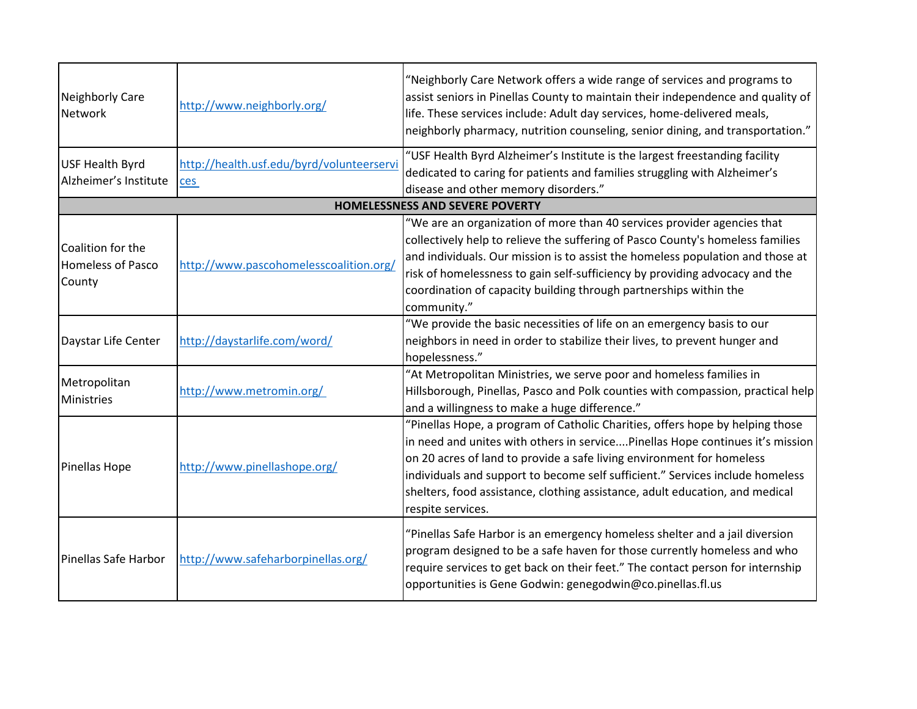| Neighborly Care<br><b>Network</b>                       | http://www.neighborly.org/                       | "Neighborly Care Network offers a wide range of services and programs to<br>assist seniors in Pinellas County to maintain their independence and quality of<br>life. These services include: Adult day services, home-delivered meals,<br>neighborly pharmacy, nutrition counseling, senior dining, and transportation."                                                                                                      |
|---------------------------------------------------------|--------------------------------------------------|-------------------------------------------------------------------------------------------------------------------------------------------------------------------------------------------------------------------------------------------------------------------------------------------------------------------------------------------------------------------------------------------------------------------------------|
| <b>USF Health Byrd</b><br>Alzheimer's Institute         | http://health.usf.edu/byrd/volunteerservi<br>ces | "USF Health Byrd Alzheimer's Institute is the largest freestanding facility<br>dedicated to caring for patients and families struggling with Alzheimer's<br>disease and other memory disorders."                                                                                                                                                                                                                              |
|                                                         |                                                  | <b>HOMELESSNESS AND SEVERE POVERTY</b>                                                                                                                                                                                                                                                                                                                                                                                        |
| Coalition for the<br><b>Homeless of Pasco</b><br>County | http://www.pascohomelesscoalition.org/           | "We are an organization of more than 40 services provider agencies that<br>collectively help to relieve the suffering of Pasco County's homeless families<br>and individuals. Our mission is to assist the homeless population and those at<br>risk of homelessness to gain self-sufficiency by providing advocacy and the<br>coordination of capacity building through partnerships within the<br>community."                |
| Daystar Life Center                                     | http://daystarlife.com/word/                     | "We provide the basic necessities of life on an emergency basis to our<br>neighbors in need in order to stabilize their lives, to prevent hunger and<br>hopelessness."                                                                                                                                                                                                                                                        |
| Metropolitan<br>Ministries                              | http://www.metromin.org/                         | "At Metropolitan Ministries, we serve poor and homeless families in<br>Hillsborough, Pinellas, Pasco and Polk counties with compassion, practical help<br>and a willingness to make a huge difference."                                                                                                                                                                                                                       |
| Pinellas Hope                                           | http://www.pinellashope.org/                     | "Pinellas Hope, a program of Catholic Charities, offers hope by helping those<br>in need and unites with others in servicePinellas Hope continues it's mission<br>on 20 acres of land to provide a safe living environment for homeless<br>individuals and support to become self sufficient." Services include homeless<br>shelters, food assistance, clothing assistance, adult education, and medical<br>respite services. |
| Pinellas Safe Harbor                                    | http://www.safeharborpinellas.org/               | "Pinellas Safe Harbor is an emergency homeless shelter and a jail diversion<br>program designed to be a safe haven for those currently homeless and who<br>require services to get back on their feet." The contact person for internship<br>opportunities is Gene Godwin: genegodwin@co.pinellas.fl.us                                                                                                                       |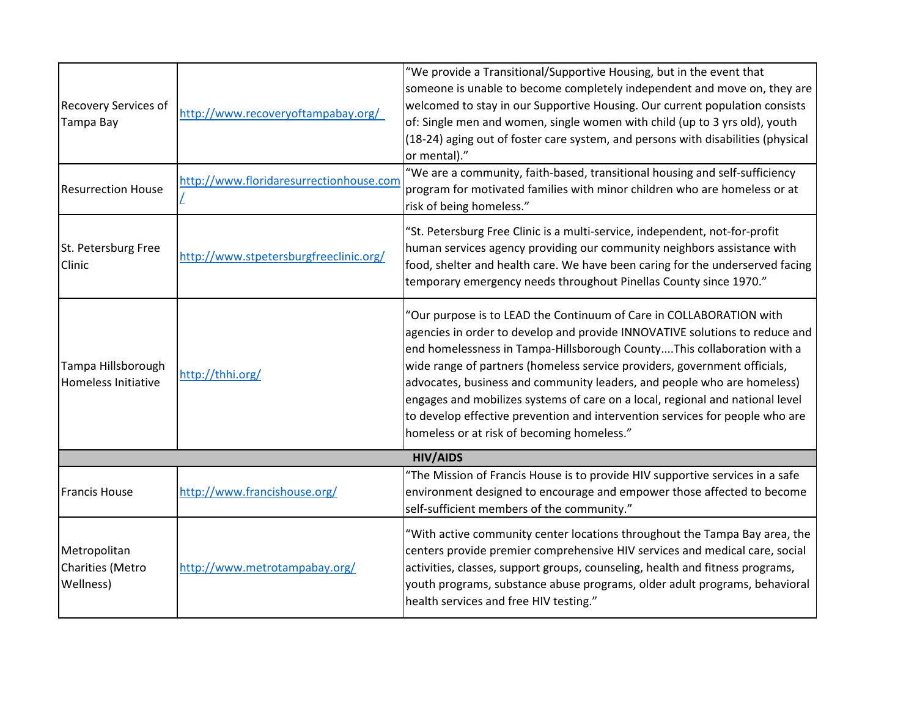| <b>Recovery Services of</b><br>Tampa Bay             | http://www.recoveryoftampabay.org/      | "We provide a Transitional/Supportive Housing, but in the event that<br>someone is unable to become completely independent and move on, they are<br>welcomed to stay in our Supportive Housing. Our current population consists<br>of: Single men and women, single women with child (up to 3 yrs old), youth<br>(18-24) aging out of foster care system, and persons with disabilities (physical<br>or mental)."                                                                                                                                                                                   |
|------------------------------------------------------|-----------------------------------------|-----------------------------------------------------------------------------------------------------------------------------------------------------------------------------------------------------------------------------------------------------------------------------------------------------------------------------------------------------------------------------------------------------------------------------------------------------------------------------------------------------------------------------------------------------------------------------------------------------|
| <b>Resurrection House</b>                            | http://www.floridaresurrectionhouse.com | "We are a community, faith-based, transitional housing and self-sufficiency<br>program for motivated families with minor children who are homeless or at<br>risk of being homeless."                                                                                                                                                                                                                                                                                                                                                                                                                |
| St. Petersburg Free<br>Clinic                        | http://www.stpetersburgfreeclinic.org/  | "St. Petersburg Free Clinic is a multi-service, independent, not-for-profit<br>human services agency providing our community neighbors assistance with<br>food, shelter and health care. We have been caring for the underserved facing<br>temporary emergency needs throughout Pinellas County since 1970."                                                                                                                                                                                                                                                                                        |
| Tampa Hillsborough<br><b>Homeless Initiative</b>     | http://thhi.org/                        | "Our purpose is to LEAD the Continuum of Care in COLLABORATION with<br>agencies in order to develop and provide INNOVATIVE solutions to reduce and<br>end homelessness in Tampa-Hillsborough CountyThis collaboration with a<br>wide range of partners (homeless service providers, government officials,<br>advocates, business and community leaders, and people who are homeless)<br>engages and mobilizes systems of care on a local, regional and national level<br>to develop effective prevention and intervention services for people who are<br>homeless or at risk of becoming homeless." |
|                                                      |                                         | <b>HIV/AIDS</b>                                                                                                                                                                                                                                                                                                                                                                                                                                                                                                                                                                                     |
| <b>Francis House</b>                                 | http://www.francishouse.org/            | "The Mission of Francis House is to provide HIV supportive services in a safe<br>environment designed to encourage and empower those affected to become<br>self-sufficient members of the community."                                                                                                                                                                                                                                                                                                                                                                                               |
| Metropolitan<br><b>Charities (Metro</b><br>Wellness) | http://www.metrotampabay.org/           | "With active community center locations throughout the Tampa Bay area, the<br>centers provide premier comprehensive HIV services and medical care, social<br>activities, classes, support groups, counseling, health and fitness programs,<br>youth programs, substance abuse programs, older adult programs, behavioral<br>health services and free HIV testing."                                                                                                                                                                                                                                  |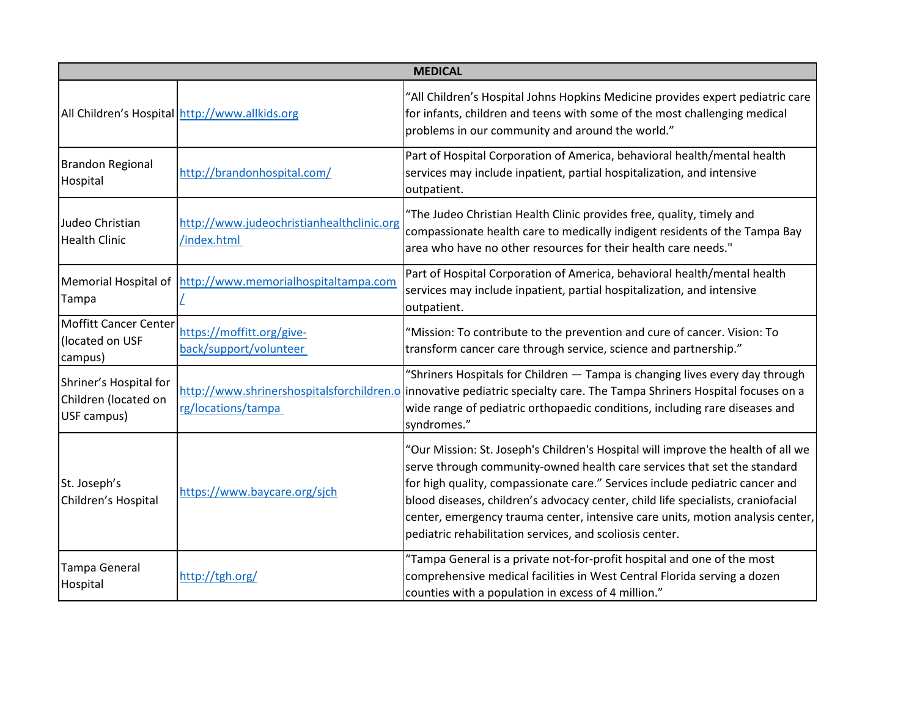| <b>MEDICAL</b>                                                |                                                             |                                                                                                                                                                                                                                                                                                                                                                                                                                                                                |  |
|---------------------------------------------------------------|-------------------------------------------------------------|--------------------------------------------------------------------------------------------------------------------------------------------------------------------------------------------------------------------------------------------------------------------------------------------------------------------------------------------------------------------------------------------------------------------------------------------------------------------------------|--|
|                                                               | All Children's Hospital http://www.allkids.org              | 'All Children's Hospital Johns Hopkins Medicine provides expert pediatric care<br>for infants, children and teens with some of the most challenging medical<br>problems in our community and around the world."                                                                                                                                                                                                                                                                |  |
| <b>Brandon Regional</b><br>Hospital                           | http://brandonhospital.com/                                 | Part of Hospital Corporation of America, behavioral health/mental health<br>services may include inpatient, partial hospitalization, and intensive<br>outpatient.                                                                                                                                                                                                                                                                                                              |  |
| Judeo Christian<br><b>Health Clinic</b>                       | http://www.judeochristianhealthclinic.org<br>/index.html    | "The Judeo Christian Health Clinic provides free, quality, timely and<br>compassionate health care to medically indigent residents of the Tampa Bay<br>area who have no other resources for their health care needs."                                                                                                                                                                                                                                                          |  |
| Tampa                                                         | Memorial Hospital of   http://www.memorialhospitaltampa.com | Part of Hospital Corporation of America, behavioral health/mental health<br>services may include inpatient, partial hospitalization, and intensive<br>outpatient.                                                                                                                                                                                                                                                                                                              |  |
| Moffitt Cancer Center<br>(located on USF<br>campus)           | https://moffitt.org/give-<br>back/support/volunteer         | "Mission: To contribute to the prevention and cure of cancer. Vision: To<br>transform cancer care through service, science and partnership."                                                                                                                                                                                                                                                                                                                                   |  |
| Shriner's Hospital for<br>Children (located on<br>USF campus) | rg/locations/tampa                                          | "Shriners Hospitals for Children - Tampa is changing lives every day through<br>http://www.shrinershospitalsforchildren.o innovative pediatric specialty care. The Tampa Shriners Hospital focuses on a<br>wide range of pediatric orthopaedic conditions, including rare diseases and<br>syndromes."                                                                                                                                                                          |  |
| St. Joseph's<br>Children's Hospital                           | https://www.baycare.org/sjch                                | "Our Mission: St. Joseph's Children's Hospital will improve the health of all we<br>serve through community-owned health care services that set the standard<br>for high quality, compassionate care." Services include pediatric cancer and<br>blood diseases, children's advocacy center, child life specialists, craniofacial<br>center, emergency trauma center, intensive care units, motion analysis center,<br>pediatric rehabilitation services, and scoliosis center. |  |
| <b>Tampa General</b><br>Hospital                              | http://tgh.org/                                             | "Tampa General is a private not-for-profit hospital and one of the most<br>comprehensive medical facilities in West Central Florida serving a dozen<br>counties with a population in excess of 4 million."                                                                                                                                                                                                                                                                     |  |